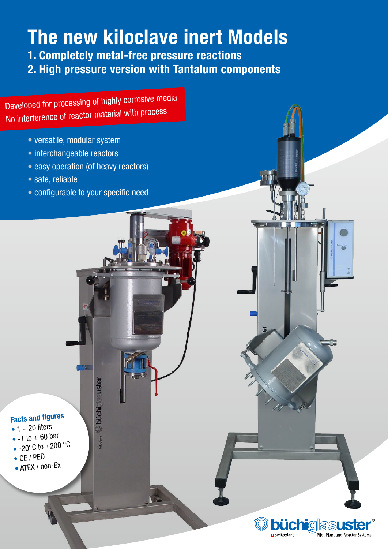# The new kiloclave inert Models

1. Completely metal-free pressure reactions

2. High pressure version with Tantalum components

Developed for processing of highly corrosive media No interference of reactor material with process

- versatile, modular system
- interchangeable reactors
- easy operation (of heavy reactors)
- safe, reliable
- configurable to your specific need

suster

**O**büchi

asus

Pilot Plant and Reactor Systems

രീ

m switzerland

# Facts and figures

- $\bullet$  1 20 liters
- $-1$  to  $+60$  bar
- $\bullet$  -20 $^{\circ}$ C to +200  $^{\circ}$ C
- CE / PED
- ATEX / non-Ex